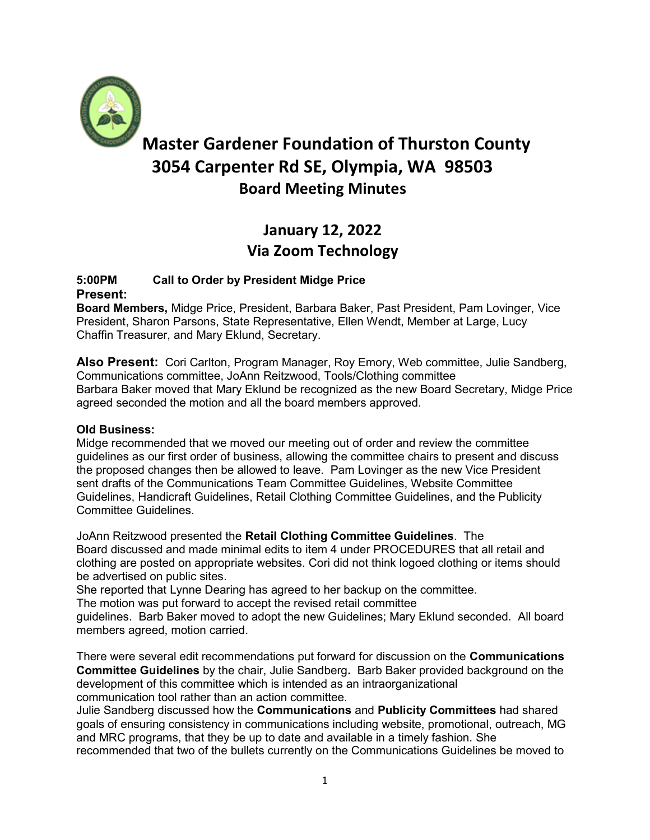

# Master Gardener Foundation of Thurston County 3054 Carpenter Rd SE, Olympia, WA 98503 Board Meeting Minutes

## January 12, 2022 Via Zoom Technology

## 5:00PM Call to Order by President Midge Price Present:

Board Members, Midge Price, President, Barbara Baker, Past President, Pam Lovinger, Vice President, Sharon Parsons, State Representative, Ellen Wendt, Member at Large, Lucy Chaffin Treasurer, and Mary Eklund, Secretary.

Also Present: Cori Carlton, Program Manager, Roy Emory, Web committee, Julie Sandberg, Communications committee, JoAnn Reitzwood, Tools/Clothing committee Barbara Baker moved that Mary Eklund be recognized as the new Board Secretary, Midge Price agreed seconded the motion and all the board members approved.

## Old Business:

Midge recommended that we moved our meeting out of order and review the committee guidelines as our first order of business, allowing the committee chairs to present and discuss the proposed changes then be allowed to leave. Pam Lovinger as the new Vice President sent drafts of the Communications Team Committee Guidelines, Website Committee Guidelines, Handicraft Guidelines, Retail Clothing Committee Guidelines, and the Publicity Committee Guidelines.

JoAnn Reitzwood presented the Retail Clothing Committee Guidelines. The Board discussed and made minimal edits to item 4 under PROCEDURES that all retail and clothing are posted on appropriate websites. Cori did not think logoed clothing or items should be advertised on public sites.

She reported that Lynne Dearing has agreed to her backup on the committee.

The motion was put forward to accept the revised retail committee

guidelines. Barb Baker moved to adopt the new Guidelines; Mary Eklund seconded. All board members agreed, motion carried.

There were several edit recommendations put forward for discussion on the Communications Committee Guidelines by the chair, Julie Sandberg. Barb Baker provided background on the development of this committee which is intended as an intraorganizational communication tool rather than an action committee.

Julie Sandberg discussed how the Communications and Publicity Committees had shared goals of ensuring consistency in communications including website, promotional, outreach, MG and MRC programs, that they be up to date and available in a timely fashion. She recommended that two of the bullets currently on the Communications Guidelines be moved to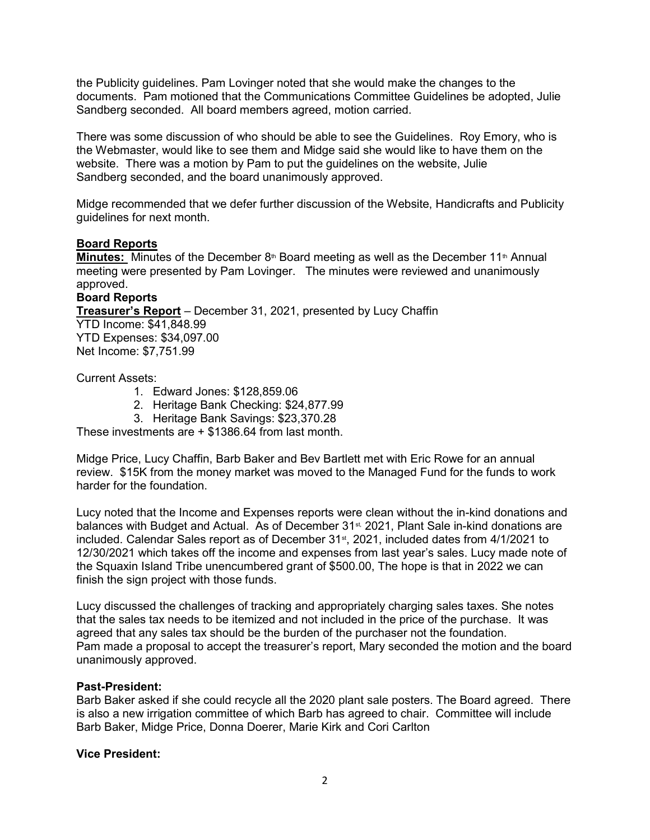the Publicity guidelines. Pam Lovinger noted that she would make the changes to the documents. Pam motioned that the Communications Committee Guidelines be adopted, Julie Sandberg seconded. All board members agreed, motion carried.

There was some discussion of who should be able to see the Guidelines. Roy Emory, who is the Webmaster, would like to see them and Midge said she would like to have them on the website. There was a motion by Pam to put the guidelines on the website, Julie Sandberg seconded, and the board unanimously approved.

Midge recommended that we defer further discussion of the Website, Handicrafts and Publicity guidelines for next month.

#### Board Reports

**Minutes:** Minutes of the December  $8<sup>th</sup>$  Board meeting as well as the December 11<sup>th</sup> Annual meeting were presented by Pam Lovinger. The minutes were reviewed and unanimously approved.

#### Board Reports

Treasurer's Report – December 31, 2021, presented by Lucy Chaffin YTD Income: \$41,848.99 YTD Expenses: \$34,097.00 Net Income: \$7,751.99

Current Assets:

- 1. Edward Jones: \$128,859.06
- 2. Heritage Bank Checking: \$24,877.99
- 3. Heritage Bank Savings: \$23,370.28

These investments are + \$1386.64 from last month.

Midge Price, Lucy Chaffin, Barb Baker and Bev Bartlett met with Eric Rowe for an annual review. \$15K from the money market was moved to the Managed Fund for the funds to work harder for the foundation.

Lucy noted that the Income and Expenses reports were clean without the in-kind donations and balances with Budget and Actual. As of December 31<sup>st</sup>, 2021, Plant Sale in-kind donations are included. Calendar Sales report as of December 31<sup>st</sup>, 2021, included dates from 4/1/2021 to 12/30/2021 which takes off the income and expenses from last year's sales. Lucy made note of the Squaxin Island Tribe unencumbered grant of \$500.00, The hope is that in 2022 we can finish the sign project with those funds.

Lucy discussed the challenges of tracking and appropriately charging sales taxes. She notes that the sales tax needs to be itemized and not included in the price of the purchase. It was agreed that any sales tax should be the burden of the purchaser not the foundation. Pam made a proposal to accept the treasurer's report, Mary seconded the motion and the board unanimously approved.

#### Past-President:

Barb Baker asked if she could recycle all the 2020 plant sale posters. The Board agreed. There is also a new irrigation committee of which Barb has agreed to chair. Committee will include Barb Baker, Midge Price, Donna Doerer, Marie Kirk and Cori Carlton

#### Vice President: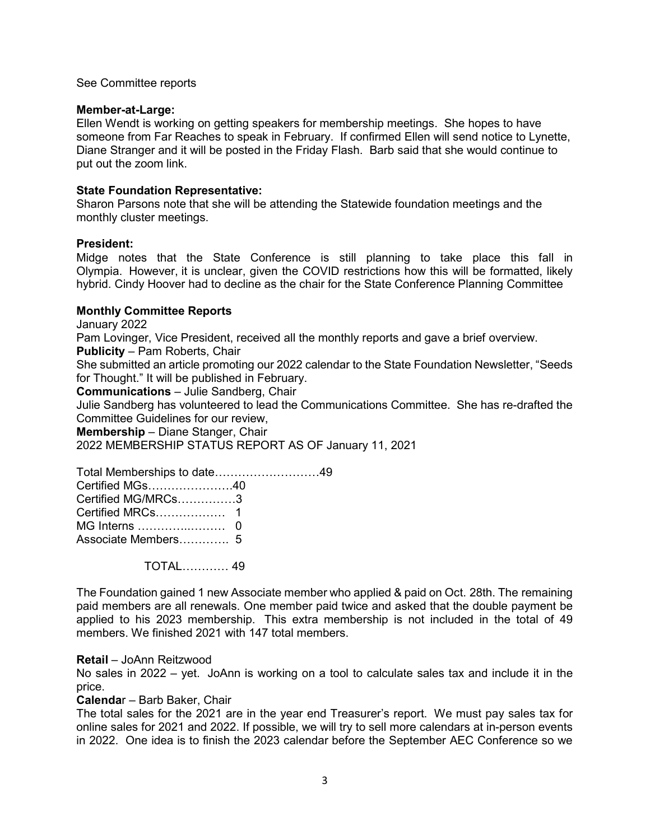#### See Committee reports

#### Member-at-Large:

Ellen Wendt is working on getting speakers for membership meetings. She hopes to have someone from Far Reaches to speak in February. If confirmed Ellen will send notice to Lynette, Diane Stranger and it will be posted in the Friday Flash. Barb said that she would continue to put out the zoom link.

#### State Foundation Representative:

Sharon Parsons note that she will be attending the Statewide foundation meetings and the monthly cluster meetings.

#### President:

Midge notes that the State Conference is still planning to take place this fall in Olympia. However, it is unclear, given the COVID restrictions how this will be formatted, likely hybrid. Cindy Hoover had to decline as the chair for the State Conference Planning Committee

#### Monthly Committee Reports

January 2022

Pam Lovinger, Vice President, received all the monthly reports and gave a brief overview.

Publicity – Pam Roberts, Chair

She submitted an article promoting our 2022 calendar to the State Foundation Newsletter, "Seeds for Thought." It will be published in February.

Communications – Julie Sandberg, Chair

Julie Sandberg has volunteered to lead the Communications Committee. She has re-drafted the Committee Guidelines for our review,

Membership – Diane Stanger, Chair

2022 MEMBERSHIP STATUS REPORT AS OF January 11, 2021

Total Memberships to date………………………49 Certified MGs………………….40 Certified MG/MRCs……………3 Certified MRCs……………… 1 MG Interns …………..……… 0 Associate Members…………. 5

TOTAL………… 49

The Foundation gained 1 new Associate member who applied & paid on Oct. 28th. The remaining paid members are all renewals. One member paid twice and asked that the double payment be applied to his 2023 membership. This extra membership is not included in the total of 49 members. We finished 2021 with 147 total members.

#### Retail – JoAnn Reitzwood

No sales in 2022 – yet. JoAnn is working on a tool to calculate sales tax and include it in the price.

#### Calendar – Barb Baker, Chair

The total sales for the 2021 are in the year end Treasurer's report. We must pay sales tax for online sales for 2021 and 2022. If possible, we will try to sell more calendars at in-person events in 2022. One idea is to finish the 2023 calendar before the September AEC Conference so we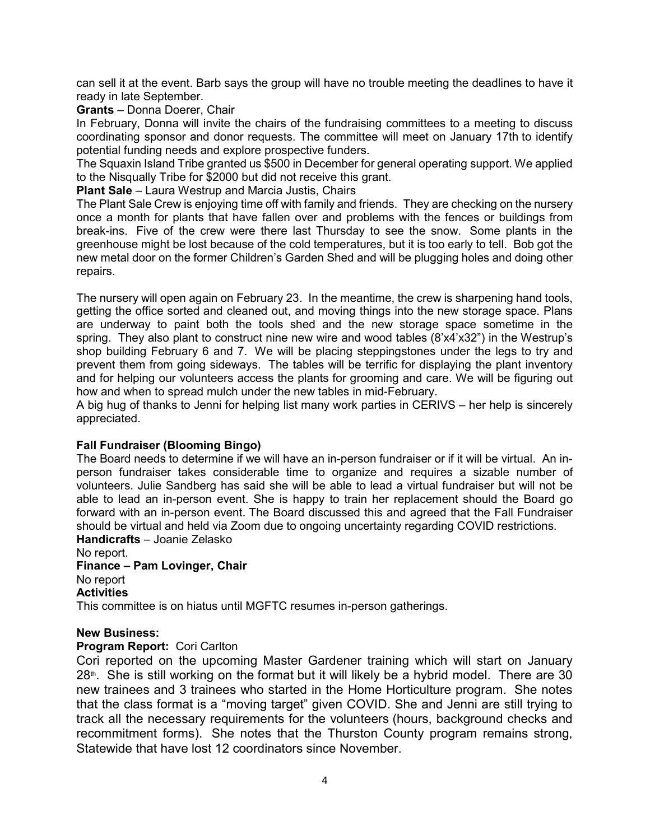can sell it at the event. Barb says the group will have no trouble meeting the deadlines to have it ready in late September.

#### Grants – Donna Doerer, Chair

In February, Donna will invite the chairs of the fundraising committees to a meeting to discuss coordinating sponsor and donor requests. The committee will meet on January 17th to identify potential funding needs and explore prospective funders.

The Squaxin Island Tribe granted us \$500 in December for general operating support. We applied to the Nisqually Tribe for \$2000 but did not receive this grant.

Plant Sale – Laura Westrup and Marcia Justis, Chairs

The Plant Sale Crew is enjoying time off with family and friends. They are checking on the nursery once a month for plants that have fallen over and problems with the fences or buildings from break-ins. Five of the crew were there last Thursday to see the snow. Some plants in the greenhouse might be lost because of the cold temperatures, but it is too early to tell. Bob got the new metal door on the former Children's Garden Shed and will be plugging holes and doing other repairs.

The nursery will open again on February 23. In the meantime, the crew is sharpening hand tools, getting the office sorted and cleaned out, and moving things into the new storage space. Plans are underway to paint both the tools shed and the new storage space sometime in the spring. They also plant to construct nine new wire and wood tables (8'x4'x32") in the Westrup's shop building February 6 and 7. We will be placing steppingstones under the legs to try and prevent them from going sideways. The tables will be terrific for displaying the plant inventory and for helping our volunteers access the plants for grooming and care. We will be figuring out how and when to spread mulch under the new tables in mid-February.

A big hug of thanks to Jenni for helping list many work parties in CERIVS – her help is sincerely appreciated.

#### Fall Fundraiser (Blooming Bingo)

The Board needs to determine if we will have an in-person fundraiser or if it will be virtual. An inperson fundraiser takes considerable time to organize and requires a sizable number of volunteers. Julie Sandberg has said she will be able to lead a virtual fundraiser but will not be able to lead an in-person event. She is happy to train her replacement should the Board go forward with an in-person event. The Board discussed this and agreed that the Fall Fundraiser should be virtual and held via Zoom due to ongoing uncertainty regarding COVID restrictions.

Handicrafts – Joanie Zelasko No report. Finance – Pam Lovinger, Chair No report **Activities** 

This committee is on hiatus until MGFTC resumes in-person gatherings.

#### New Business:

#### Program Report: Cori Carlton

Cori reported on the upcoming Master Gardener training which will start on January  $28<sup>th</sup>$ . She is still working on the format but it will likely be a hybrid model. There are 30 new trainees and 3 trainees who started in the Home Horticulture program. She notes that the class format is a "moving target" given COVID. She and Jenni are still trying to track all the necessary requirements for the volunteers (hours, background checks and recommitment forms). She notes that the Thurston County program remains strong, Statewide that have lost 12 coordinators since November.